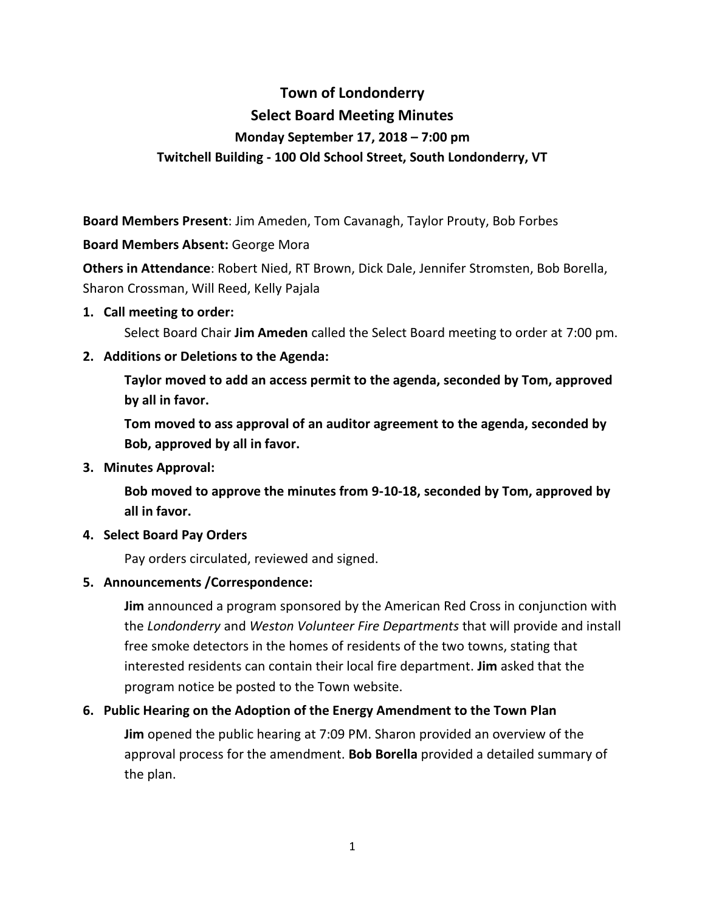# **Town of Londonderry Select Board Meeting Minutes Monday September 17, 2018 – 7:00 pm Twitchell Building - 100 Old School Street, South Londonderry, VT**

**Board Members Present**: Jim Ameden, Tom Cavanagh, Taylor Prouty, Bob Forbes

#### **Board Members Absent:** George Mora

**Others in Attendance**: Robert Nied, RT Brown, Dick Dale, Jennifer Stromsten, Bob Borella, Sharon Crossman, Will Reed, Kelly Pajala

#### **1. Call meeting to order:**

Select Board Chair **Jim Ameden** called the Select Board meeting to order at 7:00 pm.

## **2. Additions or Deletions to the Agenda:**

**Taylor moved to add an access permit to the agenda, seconded by Tom, approved by all in favor.**

**Tom moved to ass approval of an auditor agreement to the agenda, seconded by Bob, approved by all in favor.**

## **3. Minutes Approval:**

**Bob moved to approve the minutes from 9-10-18, seconded by Tom, approved by all in favor.**

## **4. Select Board Pay Orders**

Pay orders circulated, reviewed and signed.

## **5. Announcements /Correspondence:**

**Jim** announced a program sponsored by the American Red Cross in conjunction with the *Londonderry* and *Weston Volunteer Fire Departments* that will provide and install free smoke detectors in the homes of residents of the two towns, stating that interested residents can contain their local fire department. **Jim** asked that the program notice be posted to the Town website.

## **6. Public Hearing on the Adoption of the Energy Amendment to the Town Plan**

**Jim** opened the public hearing at 7:09 PM. Sharon provided an overview of the approval process for the amendment. **Bob Borella** provided a detailed summary of the plan.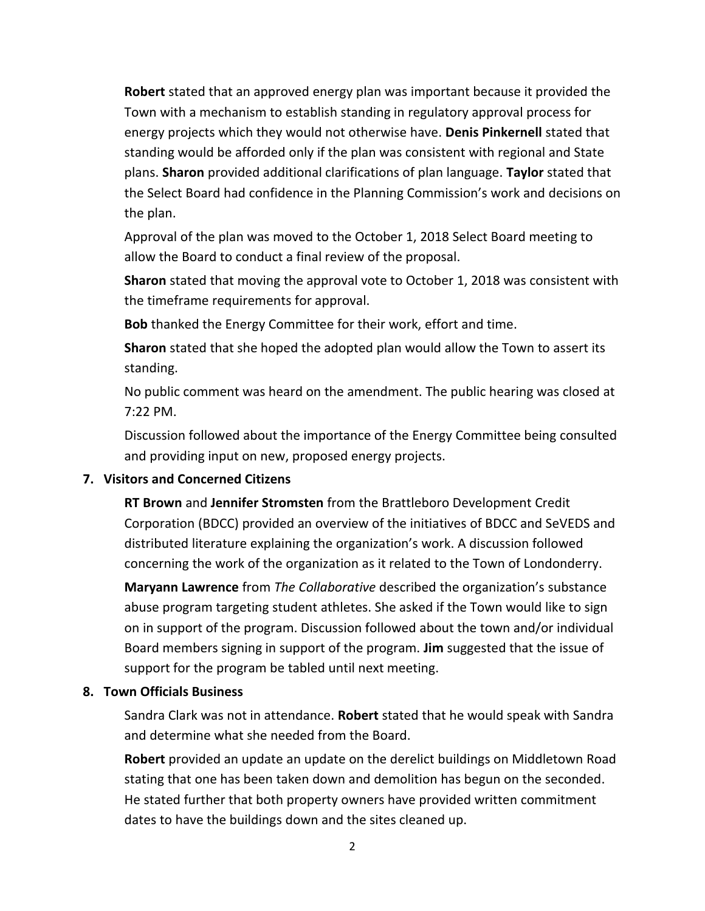**Robert** stated that an approved energy plan was important because it provided the Town with a mechanism to establish standing in regulatory approval process for energy projects which they would not otherwise have. **Denis Pinkernell** stated that standing would be afforded only if the plan was consistent with regional and State plans. **Sharon** provided additional clarifications of plan language. **Taylor** stated that the Select Board had confidence in the Planning Commission's work and decisions on the plan.

Approval of the plan was moved to the October 1, 2018 Select Board meeting to allow the Board to conduct a final review of the proposal.

**Sharon** stated that moving the approval vote to October 1, 2018 was consistent with the timeframe requirements for approval.

**Bob** thanked the Energy Committee for their work, effort and time.

**Sharon** stated that she hoped the adopted plan would allow the Town to assert its standing.

No public comment was heard on the amendment. The public hearing was closed at 7:22 PM.

Discussion followed about the importance of the Energy Committee being consulted and providing input on new, proposed energy projects.

#### **7. Visitors and Concerned Citizens**

**RT Brown** and **Jennifer Stromsten** from the Brattleboro Development Credit Corporation (BDCC) provided an overview of the initiatives of BDCC and SeVEDS and distributed literature explaining the organization's work. A discussion followed concerning the work of the organization as it related to the Town of Londonderry.

**Maryann Lawrence** from *The Collaborative* described the organization's substance abuse program targeting student athletes. She asked if the Town would like to sign on in support of the program. Discussion followed about the town and/or individual Board members signing in support of the program. **Jim** suggested that the issue of support for the program be tabled until next meeting.

## **8. Town Officials Business**

Sandra Clark was not in attendance. **Robert** stated that he would speak with Sandra and determine what she needed from the Board.

**Robert** provided an update an update on the derelict buildings on Middletown Road stating that one has been taken down and demolition has begun on the seconded. He stated further that both property owners have provided written commitment dates to have the buildings down and the sites cleaned up.